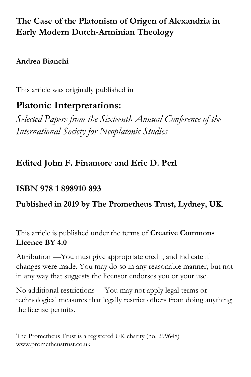# **The Case of the Platonism of Origen of Alexandria in Early Modern Dutch-Arminian Theology**

### **Andrea Bianchi**

This article was originally published in

# **Platonic Interpretations:**

*Selected Papers from the Sixteenth Annual Conference of the International Society for Neoplatonic Studies*

# **Edited John F. Finamore and Eric D. Perl**

# **ISBN 978 1 898910 893**

## **Published in 2019 by The Prometheus Trust, Lydney, UK**.

This article is published under the terms of **Creative Commons Licence BY 4.0**

Attribution —You must give appropriate credit, and indicate if changes were made. You may do so in any reasonable manner, but not in any way that suggests the licensor endorses you or your use.

No additional restrictions —You may not apply legal terms or technological measures that legally restrict others from doing anything the license permits.

The Prometheus Trust is a registered UK charity (no. 299648) www.prometheustrust.co.uk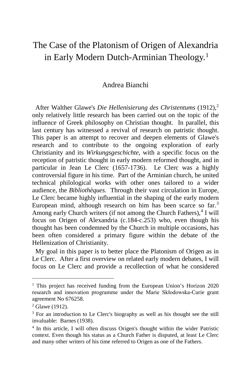## The Case of the Platonism of Origen of Alexandria in Early Modern Dutch-Arminian Theology.[1](#page-1-0)

### Andrea Bianchi

 After Walther Glawe's *Die Hellenisierung des Christentums* (1912),[2](#page-1-1) only relatively little research has been carried out on the topic of the influence of Greek philosophy on Christian thought. In parallel, this last century has witnessed a revival of research on patristic thought. This paper is an attempt to recover and deepen elements of Glawe's research and to contribute to the ongoing exploration of early Christianity and its *Wirkungsgeschichte*, with a specific focus on the reception of patristic thought in early modern reformed thought, and in particular in Jean Le Clerc (1657-1736). Le Clerc was a highly controversial figure in his time. Part of the Arminian church, he united technical philological works with other ones tailored to a wider audience, the *Bibliothèques*. Through their vast circulation in Europe, Le Clerc became highly influential in the shaping of the early modern European mind, although research on him has been scarce so far.<sup>[3](#page-1-2)</sup> Among early Church writers (if not among the Church Fathers), $4$  I will focus on Origen of Alexandria (c.184-c.253) who, even though his thought has been condemned by the Church in multiple occasions, has been often considered a primary figure within the debate of the Hellenization of Christianity.

 My goal in this paper is to better place the Platonism of Origen as in Le Clerc. After a first overview on related early modern debates, I will focus on Le Clerc and provide a recollection of what he considered

<span id="page-1-0"></span><sup>&</sup>lt;sup>1</sup> This project has received funding from the European Union's Horizon 2020 research and innovation programme under the Marie Skłodowska-Curie grant agreement No 676258.

<span id="page-1-1"></span><sup>2</sup> Glawe (1912).

<span id="page-1-2"></span><sup>&</sup>lt;sup>3</sup> For an introduction to Le Clerc's biography as well as his thought see the still invaluable: Barnes (1938).

<span id="page-1-3"></span><sup>4</sup> In this article, I will often discuss Origen's thought within the wider Patristic context. Even though his status as a Church Father is disputed, at least Le Clerc and many other writers of his time referred to Origen as one of the Fathers.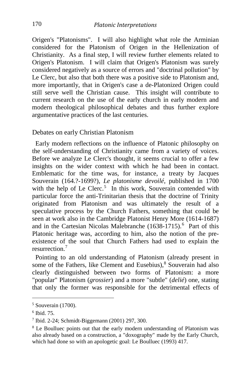Origen's "Platonisms". I will also highlight what role the Arminian considered for the Platonism of Origen in the Hellenization of Christianity. As a final step, I will review further elements related to Origen's Platonism. I will claim that Origen's Platonism was surely considered negatively as a source of errors and "doctrinal pollution" by Le Clerc, but also that both there was a positive side to Platonism and, more importantly, that in Origen's case a de-Platonized Origen could still serve well the Christian cause. This insight will contribute to current research on the use of the early church in early modern and modern theological philosophical debates and thus further explore argumentative practices of the last centuries.

Debates on early Christian Platonism

 Early modern reflections on the influence of Platonic philosophy on the self-understanding of Christianity came from a variety of voices. Before we analyze Le Clerc's thought, it seems crucial to offer a few insights on the wider context with which he had been in contact. Emblematic for the time was, for instance, a treaty by Jacques Souverain (164.?-1699?), *Le platonisme devoilé*, published in 1700 with the help of Le Clerc.<sup>[5](#page-2-0)</sup> In this work, Souverain contended with particular force the anti-Trinitarian thesis that the doctrine of Trinity originated from Platonism and was ultimately the result of a speculative process by the Church Fathers, something that could be seen at work also in the Cambridge Platonist Henry More (1614-1687) and in the Cartesian Nicolas Malebranche (1[6](#page-2-1)38-1715).<sup>6</sup> Part of this Platonic heritage was, according to him, also the notion of the preexistence of the soul that Church Fathers had used to explain the resurrection<sup>[7](#page-2-2)</sup>

 Pointing to an old understanding of Platonism (already present in some of the Fathers, like Clement and Eusebius),<sup>[8](#page-2-3)</sup> Souverain had also clearly distinguished between two forms of Platonism: a more "popular" Platonism (*grossier*) and a more "subtle" (*delié*) one, stating that only the former was responsible for the detrimental effects of

<span id="page-2-0"></span> $5$  Souverain (1700).

<span id="page-2-1"></span> $6$  Ibid. 75.

<span id="page-2-2"></span><sup>7</sup> Ibid. 2-24; Schmidt-Biggemann (2001) 297, 300.

<span id="page-2-3"></span><sup>&</sup>lt;sup>8</sup> Le Boulluec points out that the early modern understanding of Platonism was also already based on a construction, a "doxography" made by the Early Church, which had done so with an apologetic goal: Le Boulluec (1993) 417.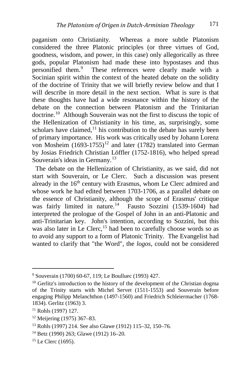paganism onto Christianity. Whereas a more subtle Platonism considered the three Platonic principles (or three virtues of God, goodness, wisdom, and power, in this case) only allegorically as three gods, popular Platonism had made these into hypostases and thus personified them.<sup>[9](#page-3-0)</sup> These references were clearly made with a Socinian spirit within the context of the heated debate on the solidity of the doctrine of Trinity that we will briefly review below and that I will describe in more detail in the next section. What is sure is that these thoughts have had a wide resonance within the history of the debate on the connection between Platonism and the Trinitarian doctrine.[10](#page-3-1) Although Souverain was not the first to discuss the topic of the Hellenization of Christianity in his time, as, surprisingly, some scholars have claimed, $^{11}$  $^{11}$  $^{11}$  his contribution to the debate has surely been of primary importance. His work was critically used by Johann Lorenz von Mosheim  $(1693-1755)^{12}$  $(1693-1755)^{12}$  $(1693-1755)^{12}$  and later (1782) translated into German by Josias Friedrich Christian Löffler (1752-1816), who helped spread Souverain's ideas in Germany.<sup>[13](#page-3-4)</sup>

 The debate on the Hellenization of Christianity, as we said, did not start with Souverain, or Le Clerc. Such a discussion was present already in the  $16<sup>th</sup>$  century with Erasmus, whom Le Clerc admired and whose work he had edited between 1703-1706, as a parallel debate on the essence of Christianity, although the scope of Erasmus' critique was fairly limited in nature.<sup>[14](#page-3-5)</sup> Fausto Sozzini (1539-1604) had interpreted the prologue of the Gospel of John in an anti-Platonic and anti-Trinitarian key. John's intention, according to Sozzini, but this was also later in Le Clerc, $15$  had been to carefully choose words so as to avoid any support to a form of Platonic Trinity. The Evangelist had wanted to clarify that "the Word", the *logos*, could not be considered

<span id="page-3-0"></span><sup>9</sup> Souverain (1700) 60-67, 119; Le Boulluec (1993) 427.

<span id="page-3-1"></span><sup>&</sup>lt;sup>10</sup> Gerlitz's introduction to the history of the development of the Christian dogma of the Trinity starts with Michel Servet (1511-1553) and Souverain before engaging Philipp Melanchthon (1497-1560) and Friedrich Schleiermacher (1768- 1834). Gerlitz (1963) 3.

<span id="page-3-2"></span><sup>11</sup> Rohls (1997) 127.

<span id="page-3-3"></span><sup>12</sup> Meijering (1975) 367–83.

<span id="page-3-4"></span><sup>13</sup> Rohls (1997) 214. See also Glawe (1912) 115–32, 150–76.

<span id="page-3-5"></span><sup>14</sup> Betz (1990) 263; Glawe (1912) 16–20.

<span id="page-3-6"></span><sup>&</sup>lt;sup>15</sup> Le Clerc (1695).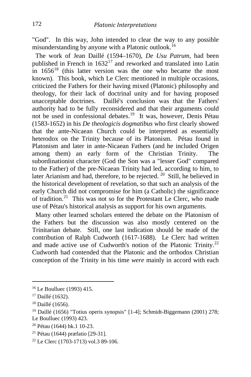"God". In this way, John intended to clear the way to any possible misunderstanding by anyone with a Platonic outlook.<sup>[16](#page-4-0)</sup>

 The work of Jean Daillé (1594–1670), *De Usu Patrum*, had been published in French in  $1632^{17}$  $1632^{17}$  $1632^{17}$  and reworked and translated into Latin in  $1656^{18}$  $1656^{18}$  $1656^{18}$  (this latter version was the one who became the most known). This book, which Le Clerc mentioned in multiple occasions, criticized the Fathers for their having mixed (Platonic) philosophy and theology, for their lack of doctrinal unity and for having proposed unacceptable doctrines. Daillé's conclusion was that the Fathers' authority had to be fully reconsidered and that their arguments could not be used in confessional debates.<sup>[19](#page-4-3)</sup> It was, however, Denis Pétau (1583-1652) in his *De theologicis dogmatibus* who first clearly showed that the ante-Nicaean Church could be interpreted as essentially heterodox on the Trinity because of its Platonism. Pétau found in Platonism and later in ante-Nicaean Fathers (and he included Origen among them) an early form of the Christian Trinity. The subordinationist character (God the Son was a "lesser God" compared to the Father) of the pre-Nicaean Trinity had led, according to him, to later Arianism and had, therefore, to be rejected. <sup>[20](#page-4-4)</sup> Still, he believed in the historical development of revelation, so that such an analysis of the early Church did not compromise for him (a Catholic) the significance of tradition.[21](#page-4-5) This was not so for the Protestant Le Clerc, who made use of Pétau's historical analysis as support for his own arguments.

 Many other learned scholars entered the debate on the Platonism of the Fathers but the discussion was also mostly centered on the Trinitarian debate. Still, one last indication should be made of the contribution of Ralph Cudworth (1617-1688). Le Clerc had written and made active use of Cudworth's notion of the Platonic Trinity.<sup>[22](#page-4-6)</sup> Cudworth had contended that the Platonic and the orthodox Christian conception of the Trinity in his time *were* mainly in accord with each

i,

<span id="page-4-0"></span><sup>16</sup> Le Boulluec (1993) 415.

<span id="page-4-1"></span><sup>&</sup>lt;sup>17</sup> Daillé (1632).

<span id="page-4-2"></span> $18$  Daillé (1656).

<span id="page-4-3"></span><sup>&</sup>lt;sup>19</sup> Daillé (1656) "Totius operis synopsis" [1-4]; Schmidt-Biggemann (2001) 278; Le Boulluec (1993) 423.

<span id="page-4-4"></span><sup>20</sup> Pétau (1644) bk.1 10-23.

<span id="page-4-5"></span><sup>21</sup> Pétau (1644) præfatio [29-31].

<span id="page-4-6"></span><sup>22</sup> Le Clerc (1703-1713) vol.3 89-106.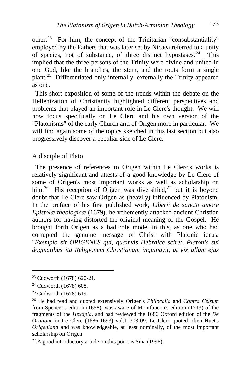other.[23](#page-5-0) For him, the concept of the Trinitarian "consubstantiality" employed by the Fathers that was later set by Nicaea referred to a unity of species, not of substance, of three distinct hypostases.<sup>[24](#page-5-1)</sup> This implied that the three persons of the Trinity were divine and united in one God, like the branches, the stem, and the roots form a single plant.[25](#page-5-2) Differentiated only internally, externally the Trinity appeared as one.

 This short exposition of some of the trends within the debate on the Hellenization of Christianity highlighted different perspectives and problems that played an important role in Le Clerc's thought. We will now focus specifically on Le Clerc and his own version of the "Platonisms" of the early Church and of Origen more in particular. We will find again some of the topics sketched in this last section but also progressively discover a peculiar side of Le Clerc.

### A disciple of Plato

 The presence of references to Origen within Le Clerc's works is relatively significant and attests of a good knowledge by Le Clerc of some of Origen's most important works as well as scholarship on him.<sup>26</sup> His reception of Origen was diversified,<sup>[27](#page-5-4)</sup> but it is beyond doubt that Le Clerc saw Origen as (heavily) influenced by Platonism. In the preface of his first published work, *Liberii de sancto amore Epistolæ theologicæ* (1679), he vehemently attacked ancient Christian authors for having distorted the original meaning of the Gospel. He brought forth Origen as a bad role model in this, as one who had corrupted the genuine message of Christ with Platonic ideas: "*Exemplo sit ORIGENES qui, quamvis Hebraicè sciret, Platonis sui dogmatibus ita Religionem Christianam inquinavit, ut vix ullum ejus*

<span id="page-5-0"></span><sup>23</sup> Cudworth (1678) 620-21.

<span id="page-5-1"></span><sup>24</sup> Cudworth (1678) 608.

<span id="page-5-2"></span><sup>25</sup> Cudworth (1678) 619.

<span id="page-5-3"></span><sup>26</sup> He had read and quoted extensively Origen's *Philocalia* and *Contra Celsum* from Spencer's edition (1658), was aware of Montfaucon's edition (1713) of the fragments of the *Hexapla*, and had reviewed the 1686 Oxford edition of the *De Oratione* in Le Clerc (1686-1693) vol.1 303-09. Le Clerc quoted often Huet's *Origeniana* and was knowledgeable, at least nominally, of the most important scholarship on Origen.

<span id="page-5-4"></span> $27$  A good introductory article on this point is Sina (1996).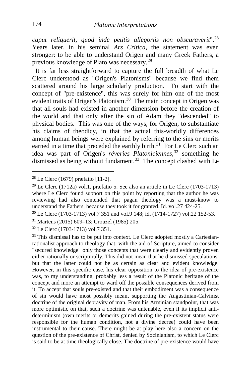*caput reliquerit, quod inde petitis allegoriis non obscuraverit*".[28](#page-6-0) Years later, in his seminal *Ars Critica*, the statement was even stronger: to be able to understand Origen and many Greek Fathers, a previous knowledge of Plato was necessary.[29](#page-6-1)

 It is far less straightforward to capture the full breadth of what Le Clerc understood as "Origen's Platonisms" because we find them scattered around his large scholarly production. To start with the concept of "pre-existence", this was surely for him one of the most evident traits of Origen's Platonism.<sup>[30](#page-6-2)</sup> The main concept in Origen was that all souls had existed in another dimension before the creation of the world and that only after the sin of Adam they "descended" to physical bodies. This was one of the ways, for Origen, to substantiate his claims of theodicy, in that the actual this-worldly differences among human beings were explained by referring to the sins or merits earned in a time that preceded the earthly birth.<sup>31</sup> For Le Clerc such an idea was part of Origen's *réveries Platoniciennes,*[32](#page-6-4) something he dismissed as being without fundament.<sup>33</sup> The concept clashed with Le

<span id="page-6-0"></span> $28$  Le Clerc (1679) præfatio [11-2].

<span id="page-6-1"></span><sup>&</sup>lt;sup>29</sup> Le Clerc (1712a) vol.1, præfatio 5. See also an article in Le Clerc (1703-1713) where Le Clerc found support on this point by reporting that the author he was reviewing had also contended that pagan theology was a must-know to understand the Fathers, because they took it for granted. Id. vol.27 424-25.

<span id="page-6-2"></span><sup>30</sup> Le Clerc (1703-1713) vol.7 351 and vol.9 148; id. (1714-1727) vol.22 152-53. 31 Martens (2015) 609–13; Crouzel (1985) 205.

<span id="page-6-3"></span>

<span id="page-6-4"></span><sup>32</sup> Le Clerc (1703-1713) vol.7 351.

<span id="page-6-5"></span> $33$  This dismissal has to be put into context. Le Clerc adopted mostly a Cartesianrationalist approach to theology that, with the aid of Scripture, aimed to consider "secured knowledge" only those concepts that were clearly and evidently proven either rationally or scripturally. This did not mean that he dismissed speculations, but that the latter could not be as certain as clear and evident knowledge. However, in this specific case, his clear opposition to the idea of pre-existence was, to my understanding, probably less a result of the Platonic heritage of the concept and more an attempt to ward off the possible consequences derived from it. To accept that souls pre-existed and that their embodiment was a consequence of sin would have most possibly meant supporting the Augustinian-Calvinist doctrine of the original depravity of man. From his Arminian standpoint, that was more optimistic on that, such a doctrine was untenable, even if its implicit antideterminism (own merits or demerits gained during the pre-existent status were responsible for the human condition, not a divine decree) could have been instrumental to their cause. There might be at play here also a concern on the question of the pre-existence of Christ, denied by Socinianism, to which Le Clerc is said to be at time theologically close. The doctrine of pre-existence would have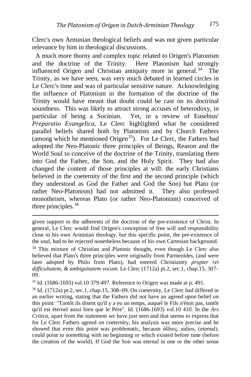Clerc's own Arminian theological beliefs and was not given particular relevance by him in theological discussions.

 A much more thorny and complex topic related to Origen's Platonism and the doctrine of the Trinity. Here Platonism had strongly influenced Origen and Christian antiquity more in general. $34$  The Trinity, as we have seen, was very much debated in learned circles in Le Clerc's time and was of particular sensitive nature. Acknowledging the influence of Platonism in the formation of the doctrine of the Trinity would have meant that doubt could be cast on its doctrinal soundness. This was likely to attract strong accuses of heterodoxy, in particular of being a Socinian. Yet, in a review of Eusebius' *Preparatio Evangelica*, Le Clerc highlighted what he considered parallel beliefs shared both by Platonists and by Church Fathers (among which he mentioned Origen<sup>35</sup>). For Le Clerc, the Fathers had adopted the Neo-Platonic three principles of Beings, Reason and the World Soul to conceive of the doctrine of the Trinity, translating them into God the Father, the Son, and the Holy Spirit. They had also changed the content of those principles at will: the early Christians believed in the coeternity of the first and the second principle (which they understood as God the Father and God the Son) but Plato (or rather Neo-Platonism) had not admitted it. They also professed monotheism, whereas Plato (or rather Neo-Platonism) conceived of three principles.<sup>[36](#page-7-2)</sup>

<span id="page-7-1"></span> $35$  Id. (1686-1693) vol.10 379-497. Reference to Origen was made at p. 491.

<span id="page-7-2"></span><sup>36</sup> Id. (1712a) pt.2, sec.1, chap.15, 308–09. On coeternity, Le Clerc had differed in an earlier writing, stating that the Fathers did not have an agreed upon belief on this point: "Tantôt ils disent qu'il y a eu un temps, auquel le Fils n'étoit pas, tantôt qu'il est éternel aussi bien que le Père". Id. (1686-1693) vol.10 410. In the *Ars Critica*, apart from the statement we have just seen and that seems to express that for Le Clerc Fathers agreed on coeternity, his analysis was more precise and he showed that even this point was problematic, because ἀΐδιος, aidios, (eternal), could point to something with no beginning or which existed before time (before the creation of the world). If God the Son was eternal in one or the other sense

<span id="page-7-0"></span>given support to the adherents of the doctrine of the pre-existence of Christ. In general, Le Clerc would find Origen's conception of free will and responsibility close to his own Arminian theology, but this specific point, the pre-existence of the soul, had to be rejected nonetheless because of his own Cartesian background. <sup>34</sup> This mixture of Christian and Platonic thought, even though Le Clerc also believed that Plato's three principles were originally from Parmenides, (and were later adopted by Philo from Plato), had entered Christianity *propter rei difficultatem, & ambiguitatem vocum*. Le Clerc (1712a) pt.2, sec.1, chap.15, 307– 09.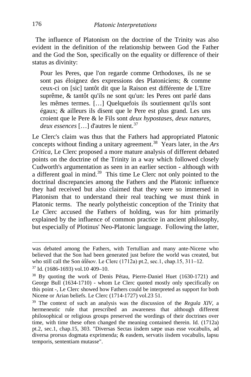The influence of Platonism on the doctrine of the Trinity was also evident in the definition of the relationship between God the Father and the God the Son, specifically on the equality or difference of their status as divinity:

Pour les Peres, que l'on regarde comme Orthodoxes, ils ne se sont pas éloignez des expressions des Platoniciens; & comme ceux-ci on [sic] tantôt dit que la Raison est différente de L'Etre suprême, & tantôt qu'ils ne sont qu'un: les Peres ont parlé dans les mêmes termes. […] Quelquefois ils soutiennent qu'ils sont égaux; & ailleurs ils disent que le Pere est plus grand. Les uns croient que le Pere & le Fils sont *deux hypostases, deux natures*, *deux essences* […] d'autres le nient.[37](#page-8-0)

Le Clerc's claim was thus that the Fathers had appropriated Platonic concepts without finding a unitary agreement.[38](#page-8-1) Years later, in the *Ars Critica,* Le Clerc proposed a more mature analysis of different debated points on the doctrine of the Trinity in a way which followed closely Cudworth's argumentation as seen in an earlier section - although with a different goal in mind.<sup>[39](#page-8-2)</sup> This time Le Clerc not only pointed to the doctrinal discrepancies among the Fathers and the Platonic influence they had received but also claimed that they were so immersed in Platonism that to understand their real teaching we must think in Platonic terms. The nearly polytheistic conception of the Trinity that Le Clerc accused the Fathers of holding, was for him primarily explained by the influence of common practice in ancient philosophy, but especially of Plotinus' Neo-Platonic language. Following the latter,

was debated among the Fathers, with Tertullian and many ante-Nicene who believed that the Son had been generated just before the world was created, but who still call the Son ἀΐδιον. Le Clerc (1712a) pt.2, sec.1, chap.15, 311–12.

<span id="page-8-0"></span><sup>37</sup> Id. (1686-1693) vol.10 409–10.

<span id="page-8-1"></span><sup>&</sup>lt;sup>38</sup> By quoting the work of Denis Pétau, Pierre-Daniel Huet (1630-1721) and George Bull (1634-1710) - whom Le Clerc quoted mostly only specifically on this point -, Le Clerc showed how Fathers could be interpreted as support for both Nicene or Arian beliefs. Le Clerc (1714-1727) vol.23 51.

<span id="page-8-2"></span><sup>39</sup> The context of such an analysis was the discussion of the *Regula XIV*, a hermeneutic rule that prescribed an awareness that although different philosophical or religious groups preserved the wordings of their doctrines over time, with time these often changed the meaning contained therein. Id. (1712a) pt.2, sec.1, chap.15, 303. "Diversas Sectas iisdem sæpe usas esse vocabulis, ad diversa prorsus dogmata exprimenda; & easdem, servatis iisdem vocabulis, lapsu temporis, sententiam mutasse".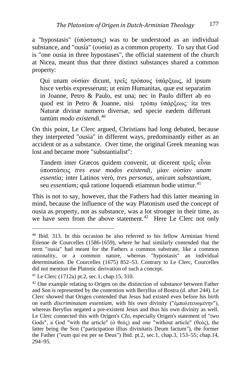a "hypostasis" (ὑπόστασις) was to be understood as an individual substance, and "ousia" (ουσία) as a common property. To say that God is "one ousia in three hypostases", the official statement of the church at Nicea, meant thus that three distinct substances shared a common property:

Qui unam οὐσίαν dicunt, τρεῖς τρόπους ὑπάρξεως, id ipsum hisce verbis expresserunt; ut enim Humanitas, quæ est separatim in Joanne, Petro & Paulo, est una; nec in Paulo differt ab eo quod est in Petro & Joanne, nisi τρόπῳ ὑπάρξεως: ita tres Naturæ divinæ numero diversæ, sed specie eædem differunt tantùm *modo existendi.*[40](#page-9-0)

On this point, Le Clerc argued, Christians had long debated, because they interpreted "ousia" in different ways, predominantly either as an accident or as a substance. Over time, the original Greek meaning was lost and became more "substantialist":

Tandem inter Græcos quidem convenit, ut dicerent τρείς εἶναι ὑποστάσεις *tres esse modos existendi*, μίαν οὐσίαν *unam essentia;* inter Latinos verò, *tres personas, unicam substantiam,* seu *essentiam*; quâ ratione loquendi etiamnun hodie utimur.<sup>[41](#page-9-1)</sup>

This is not to say, however, that the Fathers had this latter meaning in mind, because the influence of the way Platonism used the concept of ousia as property, not as substance, was a lot stronger in their time, as we have seen from the above statement.<sup>[42](#page-9-2)</sup> Here Le Clerc not only

<span id="page-9-0"></span><sup>40</sup> Ibid. 313. In this occasion he also referred to his fellow Arminian friend Étienne de Courcelles (1586-1659), where he had similarly contended that the term "ousia" had meant for the Fathers a common substrate, like a common rationality, or a common nature, whereas "hypostasis" an individual determination. De Courcelles (1675) 852–53. Contrary to Le Clerc, Courcelles did not mention the Platonic derivation of such a concept.

<span id="page-9-1"></span><sup>&</sup>lt;sup>41</sup> Le Clerc (1712a) pt.2, sec.1, chap.15, 310.

<span id="page-9-2"></span><sup>&</sup>lt;sup>42</sup> One example relating to Origen on the distinction of substance between Father and Son is represented by the contention with Beryllus of Bostra (d. after 244). Le Clerc showed that Origen contended that Jesus had existed even before his birth on earth *discriminatam essentiam*, with his own divinity ("ἐμπολιτευομένην"), whereas Beryllus negated a pre-existent Jesus and thus his own divinity as well. Le Clerc connected this with Origen's *CIo*, especially Origen's statement of "two Gods", a God "with the article" (ό θεός) and one "without article" (θεός), the latter being the Son ("participation illius divinitatis Deum factum*"*), the former the Father ("eum qui est per se Deus*"*) Ibid. pt.2, sec.1, chap.3, 153–55; chap.14, 294–95.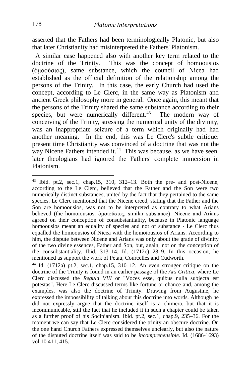asserted that the Fathers had been terminologically Platonic, but also that later Christianity had misinterpreted the Fathers' Platonism.

 A similar case happened also with another key term related to the doctrine of the Trinity. This was the concept of homoousios (ὁμοούσιος), same substance, which the council of Nicea had established as the official definition of the relationship among the persons of the Trinity. In this case, the early Church had used the concept, according to Le Clerc, in the same way as Platonism and ancient Greek philosophy more in general. Once again, this meant that the persons of the Trinity shared the same substance according to their species, but were numerically different.<sup>43</sup> The modern way of conceiving of the Trinity, stressing the numerical unity of the divinity, was an inappropriate seizure of a term which originally had had another meaning. In the end, this was Le Clerc's subtle critique: present time Christianity was convinced of a doctrine that was not the way Nicene Fathers intended it.<sup>44</sup> This was because, as we have seen, later theologians had ignored the Fathers' complete immersion in Platonism.

<span id="page-10-0"></span> $43$  Ibid. pt.2, sec.1, chap.15, 310, 312–13. Both the pre- and post-Nicene, according to the Le Clerc, believed that the Father and the Son were two numerically distinct substances, united by the fact that they pertained to the same species. Le Clerc mentioned that the Nicene creed, stating that the Father and the Son are homoousios, was not to be interpreted as contrary to what Arians believed (the homoiousios, ὁμοιούσιος, similar substance). Nicene and Arians agreed on their conception of consubstantiality, because in Platonic language homoousios meant an equality of species and not of substance - Le Clerc thus equalled the homoousios of Nicea with the homoiousios of Arians. According to him, the dispute between Nicene and Arians was only about the grade of divinity of the two divine essences, Father and Son, but, again, not on the conception of the consubstantiality. Ibid. 313–14. Id. (1712c) 28–9. In this occasion, he mentioned as support the work of Pétau, Courcelles and Cudworth.

<span id="page-10-1"></span><sup>44</sup> Id. (1712a) pt.2, sec.1, chap.15, 310–12. An even stronger critique on the doctrine of the Trinity is found in an earlier passage of the *Ars Critica*, where Le Clerc discussed the *Regula VIII* or "Voces esse, quibus nulla subjecta est potestas". Here Le Clerc discussed terms like fortune or chance and, among the examples, was also the doctrine of Trinity. Drawing from Augustine, he expressed the impossibility of talking about this doctrine into words. Although he did not expressly argue that the doctrine itself is a chimera, but that it is incommunicable, still the fact that he included it in such a chapter could be taken as a further proof of his Socinianism. Ibid. pt.2, sec.1, chap.9, 235–36. For the moment we can say that Le Clerc considered the trinity an obscure doctrine. On the one hand Church Fathers expressed themselves unclearly, but also the nature of the disputed doctrine itself was said to be *incomprehensible*. Id. (1686-1693) vol.10 411, 415.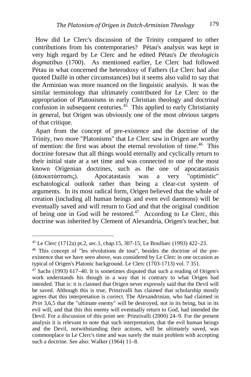How did Le Clerc's discussion of the Trinity compared to other contributions from his contemporaries? Pétau's analysis was kept in very high regard by Le Clerc and he edited Pétau's *De theologicis dogmatibus* (1700). As mentioned earlier, Le Clerc had followed Pétau in what concerned the heterodoxy of Fathers (Le Clerc had also quoted Daillé in other circumstances) but it seems also valid to say that the Arminian was more nuanced on the linguistic analysis. It was the similar terminology that ultimately contributed for Le Clerc to the appropriation of Platonisms in early Christian theology and doctrinal confusion in subsequent centuries.<sup>45</sup> This applied to early Christianity in general, but Origen was obviously one of the most obvious targets of that critique.

 Apart from the concept of pre-existence and the doctrine of the Trinity, two more "Platonisms" that Le Clerc saw in Origen are worthy of mention: the first was about the eternal revolution of time.<sup>[46](#page-11-1)</sup> This doctrine foresaw that all things would eternally and cyclically return to their initial state at a set time and was connected to one of the most known Origenian doctrines, such as the one of apocatastasis (ἀποκατάστασις). Apocatastasis was a very "optimistic" eschatological outlook rather than being a clear-cut system of arguments. In its most radical form, Origen believed that the whole of creation (including all human beings and even evil daemons) will be eventually saved and will return to God and that the original condition of being one in God will be restored.<sup>[47](#page-11-2)</sup> According to Le Clerc, this doctrine was inherited by Clement of Alexandria, Origen's teacher, but

<span id="page-11-0"></span><sup>45</sup> Le Clerc (1712a) pt.2, sec.1, chap.15, 307-15; Le Boulluec (1993) 422–23.

<span id="page-11-1"></span><sup>46</sup> This concept of "les révolutions de tout", besides the doctrine of the preexistence that we have seen above, was considered by Le Clerc in one occasion as typical of Origen's Platonic background. Le Clerc (1703-1713) vol. 7 351.

<span id="page-11-2"></span> $47$  Sachs (1993) 617–40. It is sometimes disputed that such a reading of Origen's work understands his though in a way that is contrary to what Origen had intended. That is: it is claimed that Origen never expressly said that the Devil will be saved. Although this is true, Prinzivalli has claimed that scholarship mostly agrees that this interpretation is correct. The Alexandrinian, who had claimed in *Prin* 3,6,5 that the "ultimate enemy" will be destroyed, not in its being, but in its evil will, and that this this enemy will eventually return to God, had intended the Devil. For a discussion of this point see: Prinzivalli (2000) 24–9. For the present analysis it is relevant to note that such interpretation, that the evil human beings and the Devil, notwithstanding their actions, will be ultimately saved, was commonplace in Le Clerc's time and was surely the main problem with accepting such a doctrine. See also: Walker (1964) 11–8.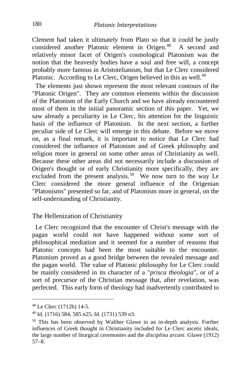Clement had taken it ultimately from Plato so that it could be justly considered another Platonic element in Origen.<sup>[48](#page-12-0)</sup> A second and relatively minor facet of Origen's cosmological Platonism was the notion that the heavenly bodies have a soul and free will, a concept probably more famous in Aristotelianism, but that Le Clerc considered Platonic. According to Le Clerc, Origen believed in this as well.<sup>[49](#page-12-1)</sup>

 The elements just shown represent the most relevant contours of the "Platonic Origen". They are common elements within the discussion of the Platonism of the Early Church and we have already encountered most of them in the initial panoramic section of this paper. Yet, we saw already a peculiarity in Le Clerc, his attention for the linguistic basis of the influence of Platonism. In the next section, a further peculiar side of Le Clerc will emerge in this debate. Before we move on, as a final remark, it is important to notice that Le Clerc had considered the influence of Platonism and of Greek philosophy and religion more in general on some other areas of Christianity as well. Because these other areas did not necessarily include a discussion of Origen's thought or of early Christianity more specifically, they are excluded from the present analysis.<sup>[50](#page-12-2)</sup> We now turn to the way Le Clerc considered the more general influence of the Origenian "Platonisms" presented so far, and of Platonism more in general, on the self-understanding of Christianity.

The Hellenization of Christianity

 Le Clerc recognized that the encounter of Christ's message with the pagan world could not have happened without some sort of philosophical mediation and it seemed for a number of reasons that Platonic concepts had been the most suitable to the encounter. Platonism proved as a good bridge between the revealed message and the pagan world. The value of Platonic philosophy for Le Clerc could be mainly considered in its character of a "*prisca theologia*", or of a sort of precursor of the Christian message that, after revelation, was perfected. This early form of theology had inadvertently contributed to

<span id="page-12-0"></span><sup>48</sup> Le Clerc (1712b) 14-5.

<span id="page-12-1"></span><sup>49</sup> Id. (1716) 584, 585 n25; Id. (1731) 539 n3.

<span id="page-12-2"></span><sup>50</sup> This has been observed by Walther Glawe in an in-depth analysis. Further influences of Greek thought in Christianity included for Le Clerc ascetic ideals, the large number of liturgical ceremonies and the *disciplina arcani*. Glawe (1912) 57–8.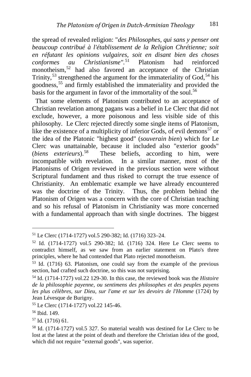the spread of revealed religion: "*des Philosophes, qui sans y penser ont beaucoup contribué à l'établissement de la Religion Chrétienne; soit en réfutant les opinions vulgaires, soit en disant bien des choses conformes au Christianisme".*[51](#page-13-0) Platonism had reinforced monotheism,<sup>[52](#page-13-1)</sup> had also favored an acceptance of the Christian Trinity,<sup>[53](#page-13-2)</sup> strengthened the argument for the immateriality of God,<sup>[54](#page-13-3)</sup> his goodness,[55](#page-13-4) and firmly established the immateriality and provided the basis for the argument in favor of the immortality of the soul.<sup>[56](#page-13-5)</sup>

 That some elements of Platonism contributed to an acceptance of Christian revelation among pagans was a belief in Le Clerc that did not exclude, however, a more poisonous and less visible side of this philosophy. Le Clerc rejected directly some single items of Platonism, like the existence of a multiplicity of inferior Gods, of evil demons<sup>[57](#page-13-6)</sup> or the idea of the Platonic "highest good" (*souverain bien*) which for Le Clerc was unattainable, because it included also "exterior goods" (*biens exterieurs*).[58](#page-13-7) These beliefs, according to him, were incompatible with revelation. In a similar manner, most of the Platonisms of Origen reviewed in the previous section were without Scriptural fundament and thus risked to corrupt the true essence of Christianity. An emblematic example we have already encountered was the doctrine of the Trinity. Thus, the problem behind the Platonism of Origen was a concern with the core of Christian teaching and so his refusal of Platonism in Christianity was more concerned with a fundamental approach than with single doctrines. The biggest

<span id="page-13-0"></span><sup>51</sup> Le Clerc (1714-1727) vol.5 290-382; Id. (1716) 323–24.

<span id="page-13-1"></span><sup>52</sup> Id. (1714-1727) vol.5 290-382; Id. (1716) 324. Here Le Clerc seems to contradict himself, as we saw from an earlier statement on Plato's three principles, where he had contended that Plato rejected monotheism.

<span id="page-13-2"></span><sup>53</sup> Id. (1716) 63. Platonism, one could say from the example of the previous section, had crafted such doctrine, so this was not surprising.

<span id="page-13-3"></span><sup>54</sup> Id. (1714-1727) vol.22 129-30. In this case, the reviewed book was the *Histoire de la philosophie payenne, ou sentimens des philosophes et des peuples payens les plus célèbres, sur Dieu, sur l'ame et sur les devoirs de l'Homme* (1724) by Jean Lévesque de Burigny.

<span id="page-13-4"></span><sup>55</sup> Le Clerc (1714-1727) vol.22 145-46.

<span id="page-13-5"></span><sup>56</sup> Ibid. 149.

<span id="page-13-6"></span><sup>57</sup> Id. (1716) 61.

<span id="page-13-7"></span><sup>58</sup> Id. (1714-1727) vol.5 327. So material wealth was destined for Le Clerc to be lost at the latest at the point of death and therefore the Christian idea of the good, which did not require "external goods", was superior.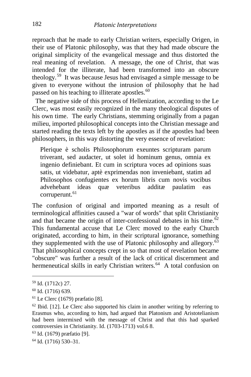reproach that he made to early Christian writers, especially Origen, in their use of Platonic philosophy, was that they had made obscure the original simplicity of the evangelical message and thus distorted the real meaning of revelation. A message, the one of Christ, that was intended for the illiterate, had been transformed into an obscure theology.[59](#page-14-0) It was because Jesus had envisaged a simple message to be given to everyone without the intrusion of philosophy that he had passed on his teaching to illiterate apostles.<sup>[60](#page-14-1)</sup>

 The negative side of this process of Hellenization, according to the Le Clerc, was most easily recognized in the many theological disputes of his own time. The early Christians, stemming originally from a pagan milieu, imported philosophical concepts into the Christian message and started reading the texts left by the apostles as if the apostles had been philosophers, in this way distorting the very essence of revelation:

Plerique è scholis Philosophorum exeuntes scripturam parum triverant, sed audacter, ut solet id hominum genus, omnia ex ingenio definiebant. Et cum in scriptura voces ad opinions suas satis, ut videbatur, aptè exprimendas non inveniebant, statim ad Philosophos confugientes ex horum libris cum novis vocibus advehebant ideas quæ veteribus additæ paulatim eas corruperunt.<sup>[61](#page-14-2)</sup>

The confusion of original and imported meaning as a result of terminological affinities caused a "war of words" that split Christianity and that became the origin of inter-confessional debates in his time. $62$ This fundamental accuse that Le Clerc moved to the early Church originated, according to him, in their scriptural ignorance, something they supplemented with the use of Platonic philosophy and allegory. $\frac{63}{63}$  $\frac{63}{63}$  $\frac{63}{63}$ That philosophical concepts crept in so that most of revelation became "obscure" was further a result of the lack of critical discernment and hermeneutical skills in early Christian writers.<sup>64</sup> A total confusion on

<span id="page-14-5"></span><sup>64</sup> Id. (1716) 530–31.

<span id="page-14-0"></span><sup>59</sup> Id. (1712c) 27.

<span id="page-14-1"></span><sup>60</sup> Id. (1716) 639.

<span id="page-14-2"></span><sup>61</sup> Le Clerc (1679) præfatio [8].

<span id="page-14-3"></span> $62$  Ibid. [12]. Le Clerc also supported his claim in another writing by referring to Erasmus who, according to him, had argued that Platonism and Aristotelianism had been intermixed with the message of Christ and that this had sparked controversies in Christianity. Id. (1703-1713) vol.6 8.

<span id="page-14-4"></span><sup>63</sup> Id. (1679) præfatio [9].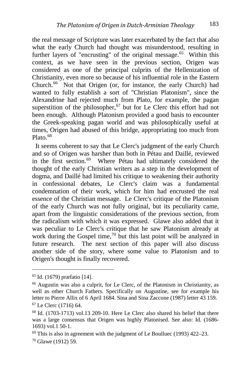the real message of Scripture was later exacerbated by the fact that also what the early Church had thought was misunderstood, resulting in further layers of "encrusting" of the original message.<sup>65</sup> Within this context, as we have seen in the previous section, Origen was considered as one of the principal culprits of the Hellenization of Christianity, even more so because of his influential role in the Eastern Church.<sup>66</sup> Not that Origen (or, for instance, the early Church) had wanted to fully establish a sort of "Christian Platonism", since the Alexandrine had rejected much from Plato, for example, the pagan superstition of the philosopher,<sup>[67](#page-15-2)</sup> but for Le Clerc this effort had not been enough. Although Platonism provided a good basis to encounter the Greek-speaking pagan world and was philosophically useful at times, Origen had abused of this bridge, appropriating too much from Plato. $68$ 

 It seems coherent to say that Le Clerc's judgment of the early Church and so of Origen was harsher than both in Pétau and Daillé, reviewed in the first section.[69](#page-15-4) Where Pétau had ultimately considered the thought of the early Christian writers as a step in the development of dogma, and Daillé had limited his critique to weakening their authority in confessional debates, Le Clerc's claim was a fundamental condemnation of their work, which for him had encrusted the real essence of the Christian message. Le Clerc's critique of the Platonism of the early Church was not fully original, but its peculiarity came, apart from the linguistic considerations of the previous section, from the radicalism with which it was expressed. Glawe also added that it was peculiar to Le Clerc's critique that he saw Platonism already at work during the Gospel time,<sup>[70](#page-15-5)</sup> but this last point will be analyzed in future research. The next section of this paper will also discuss another side of the story, where some value to Platonism and to Origen's thought is finally recovered.

i,

<span id="page-15-0"></span><sup>65</sup> Id. (1679) præfatio [14].

<span id="page-15-1"></span><sup>66</sup> Augustin was also a culprit, for Le Clerc, of the Platonism in Christianity, as well as other Church Fathers. Specifically on Augustine, see for example his letter to Pierre Allix of 6 April 1684. Sina and Sina Zaccone (1987) letter 43 159. <sup>67</sup> Le Clerc (1716) 64.

<span id="page-15-3"></span><span id="page-15-2"></span><sup>68</sup> Id. (1703-1713) vol.13 209-10. Here Le Clerc also shared his belief that there was a large consensus that Origen was highly Platonised. See also: Id. (1686- 1693) vol.1 50-1.

<span id="page-15-4"></span> $69$  This is also in agreement with the judgment of Le Boulluec (1993) 422–23.

<span id="page-15-5"></span><sup>70</sup> Glawe (1912) 59.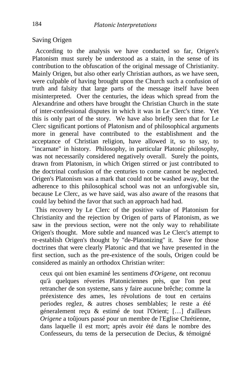### Saving Origen

 According to the analysis we have conducted so far, Origen's Platonism must surely be understood as a stain, in the sense of its contribution to the obfuscation of the original message of Christianity. Mainly Origen, but also other early Christian authors, as we have seen, were culpable of having brought upon the Church such a confusion of truth and falsity that large parts of the message itself have been misinterpreted. Over the centuries, the ideas which spread from the Alexandrine and others have brought the Christian Church in the state of inter-confessional disputes in which it was in Le Clerc's time. Yet this is only part of the story. We have also briefly seen that for Le Clerc significant portions of Platonism and of philosophical arguments more in general have contributed to the establishment and the acceptance of Christian religion, have allowed it, so to say, to "incarnate" in history. Philosophy, in particular Platonic philosophy, was not necessarily considered negatively overall. Surely the points, drawn from Platonism, in which Origen stirred or just contributed to the doctrinal confusion of the centuries to come cannot be neglected. Origen's Platonism was a mark that could not be washed away, but the adherence to this philosophical school was not an unforgivable sin, because Le Clerc, as we have said, was also aware of the reasons that could lay behind the favor that such an approach had had.

 This recovery by Le Clerc of the positive value of Platonism for Christianity and the rejection by Origen of parts of Platonism, as we saw in the previous section, were not the only way to rehabilitate Origen's thought. More subtle and nuanced was Le Clerc's attempt to re-establish Origen's thought by "de-Platonizing" it. Save for those doctrines that were clearly Platonic and that we have presented in the first section, such as the pre-existence of the souls, Origen could be considered as mainly an orthodox Christian writer:

ceux qui ont bien examiné les sentimens d'*Origene*, ont reconuu qu'à quelques réveries Platoniciennes près, que l'on peut retrancher de son systeme, sans y faire aucune brêche; comme la préexistence des ames, les révolutions de tout en certains periodes reglez, & autres choses semblables; le reste a été géneralement reçu & estimé de tout l'Orient; […] d'ailleurs *Origene* a toûjours passé pour un membre de l'Eglise Chrétienne, dans laquelle il est mort; après avoir été dans le nombre des Confesseurs, du tems de la persecution de Decius, & témoigné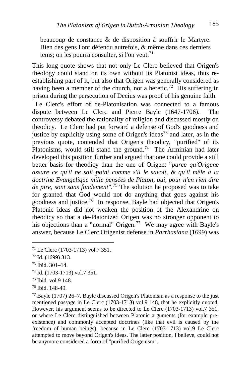beaucoup de constance & de disposition à souffrir le Martyre. Bien des gens l'ont défendu autrefois, & même dans ces derniers tems; on les pourra consulter, si l'on veut.<sup>[71](#page-17-0)</sup>

This long quote shows that not only Le Clerc believed that Origen's theology could stand on its own without its Platonist ideas, thus reestablishing part of it, but also that Origen was generally considered as having been a member of the church, not a heretic.<sup>72</sup> His suffering in prison during the persecution of Decius was proof of his genuine faith.

 Le Clerc's effort of de-Platonisation was connected to a famous dispute between Le Clerc and Pierre Bayle (1647-1706). The controversy debated the rationality of religion and discussed mostly on theodicy. Le Clerc had put forward a defense of God's goodness and justice by explicitly using some of Origen's ideas<sup>[73](#page-17-2)</sup> and later, as in the previous quote, contended that Origen's theodicy, "purified" of its Platonisms, would still stand the ground.<sup>[74](#page-17-3)</sup> The Arminian had later developed this position further and argued that one could provide a still better basis for theodicy than the one of Origen: "*parce qu'Origene assure ce qu'il ne sait point comme s'il le savoit, & qu'il mêle à la doctrine Evangelique mille pensées de Platon, qui, pour n'en rien dire de pire, sont sans fondement".*[75](#page-17-4) The solution he proposed was to take for granted that God would not do anything that goes against his goodness and justice.[76](#page-17-5) In response, Bayle had objected that Origen's Platonic ideas did not weaken the position of the Alexandrine on theodicy so that a de-Platonized Origen was no stronger opponent to his objections than a "normal" Origen.<sup>[77](#page-17-6)</sup> We may agree with Bayle's answer, because Le Clerc Origenist defense in *Parrhasiana* (1699) was

i,

- <span id="page-17-3"></span><sup>74</sup> Id. (1703-1713) vol.7 351.
- <span id="page-17-4"></span><sup>75</sup> Ibid. vol.9 148.
- <span id="page-17-5"></span><sup>76</sup> Ibid. 148-49.

<span id="page-17-0"></span><sup>71</sup> Le Clerc (1703-1713) vol.7 351.

<span id="page-17-1"></span> $72$  Id. (1699) 313.

<span id="page-17-2"></span><sup>73</sup> Ibid. 301–14.

<span id="page-17-6"></span> $77$  Bayle (1707) 26–7. Bayle discussed Origen's Platonism as a response to the just mentioned passage in Le Clerc (1703-1713) vol.9 148, that he explicitly quoted. However, his argument seems to be directed to Le Clerc (1703-1713) vol.7 351, or where Le Clerc distinguished between Platonic arguments (for example preexistence) and commonly accepted doctrines (like that evil is caused by the freedom of human beings), because in Le Clerc (1703-1713) vol.9 Le Clerc attempted to move beyond Origen's ideas. The latter position, I believe, could not be anymore considered a form of "purified Origenism".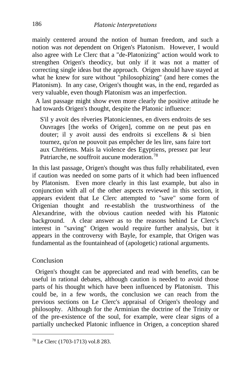mainly centered around the notion of human freedom, and such a notion was *not* dependent on Origen's Platonism. However, I would also agree with Le Clerc that a "de-Platonizing" action would work to strengthen Origen's theodicy, but only if it was not a matter of correcting single ideas but the approach. Origen should have stayed at what he knew for sure without "philosophizing" (and here comes the Platonism). In any case, Origen's thought was, in the end, regarded as very valuable, even though Platonism was an imperfection.

 A last passage might show even more clearly the positive attitude he had towards Origen's thought, despite the Platonic influence:

S'il y avoit des rêveries Platoniciennes, en divers endroits de ses Ouvrages [the works of Origen], comme on ne peut pas en douter; il y avoit aussi des endroits si excellens & si bien tournez, qu'on ne pouvoit pas empêcher de les lire, sans faire tort aux Chrétiens. Mais la violence des Egyptiens, pressez par leur Patriarche, ne souffroit aucune moderation.[78](#page-18-0)

In this last passage, Origen's thought was thus fully rehabilitated, even if caution was needed on some parts of it which had been influenced by Platonism. Even more clearly in this last example, but also in conjunction with all of the other aspects reviewed in this section, it appears evident that Le Clerc attempted to "save" some form of Origenian thought and re-establish the trustworthiness of the Alexandrine, with the obvious caution needed with his Platonic background. A clear answer as to the reasons behind Le Clerc's interest in "saving" Origen would require further analysis, but it appears in the controversy with Bayle, for example, that Origen was fundamental as the fountainhead of (apologetic) rational arguments.

#### Conclusion

 Origen's thought can be appreciated and read with benefits, can be useful in rational debates, although caution is needed to avoid those parts of his thought which have been influenced by Platonism. This could be, in a few words, the conclusion we can reach from the previous sections on Le Clerc's appraisal of Origen's theology and philosophy. Although for the Arminian the doctrine of the Trinity or of the pre-existence of the soul, for example, were clear signs of a partially unchecked Platonic influence in Origen, a conception shared

<span id="page-18-0"></span><sup>78</sup> Le Clerc (1703-1713) vol.8 283.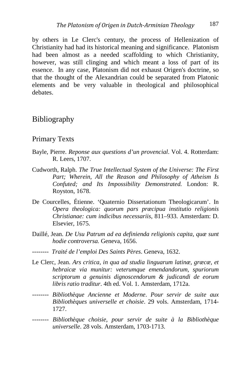by others in Le Clerc's century, the process of Hellenization of Christianity had had its historical meaning and significance. Platonism had been almost as a needed scaffolding to which Christianity, however, was still clinging and which meant a loss of part of its essence. In any case, Platonism did not exhaust Origen's doctrine, so that the thought of the Alexandrian could be separated from Platonic elements and be very valuable in theological and philosophical debates.

### Bibliography

#### Primary Texts

- Bayle, Pierre. *Reponse aux questions d'un provencial*. Vol. 4. Rotterdam: R. Leers, 1707.
- Cudworth, Ralph. *The True Intellectual System of the Universe: The First Part; Wherein, All the Reason and Philosophy of Atheism Is Confuted; and Its Impossibility Demonstrated.* London: R. Royston, 1678.
- De Courcelles, Étienne. 'Quaternio Dissertationum Theologicarum'. In *Opera theologica: quorum pars præcipua institutio religionis Christianae: cum indicibus necessariis*, 811–933. Amsterdam: D. Elsevier, 1675.
- Daillé, Jean. *De Usu Patrum ad ea definienda religionis capita, quæ sunt hodie controversa.* Geneva, 1656.
- *-------- Traité de l'emploi Des Saints Pères*. Geneva, 1632.
- Le Clerc, Jean. *Ars critica, in qua ad studia linguarum latinæ, græcæ, et hebraicæ via munitur: veterumque emendandorum, spuriorum scriptorum a genuinis dignoscendorum & judicandi de eorum libris ratio traditur*. 4th ed. Vol. 1. Amsterdam, 1712a.
- *-------- Bibliothèque Ancienne et Moderne*. *Pour servir de suite aux Bibliothèques universelle et choisie*. 29 vols. Amsterdam, 1714- 1727.
- *-------- Bibliothèque choisie, pour servir de suite à la Bibliothèque universelle*. 28 vols. Amsterdam, 1703-1713.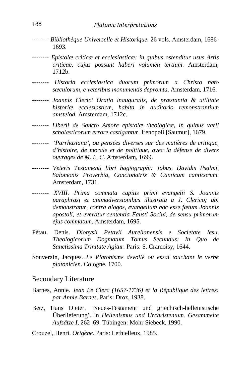- *-------- Bibliothèque Universelle et Historique*. 26 vols. Amsterdam, 1686- 1693.
- *-------- Epistolæ criticæ et ecclesiasticæ: in quibus ostenditur usus Artis criticae, cujus possunt haberi volumen tertium*. Amsterdam, 1712b.
- *-------- Historia ecclesiastica duorum primorum a Christo nato sæculorum, e veteribus monumentis depromta*. Amsterdam, 1716.
- *-------- Joannis Clerici Oratio inauguralis, de præstantia & utilitate historiæ ecclesiasticæ, habita in auditorio remonstrantium amstelod.* Amsterdam, 1712c.
- *-------- Liberii de Sancto Amore epistolæ theologicæ, in quibus varii scholasticorum errore castigantur*. Irenopoli [Saumur], 1679.
- *-------- 'Parrhasiana', ou pensées diverses sur des matières de critique, d'histoire, de morale et de politique, avec la défense de divers ouvrages de M. L. C.* Amsterdam, 1699.
- *-------- Veteris Testamenti libri hagiographi: Jobus, Davidis Psalmi, Salomonis Proverbia, Concionatrix & Canticum canticorum*. Amsterdam, 1731.
- *-------- XVIII. Prima commata capitis primi evangelii S. Joannis paraphrasi et animadversionibus illustrata a J. Clerico; ubi demonstratur, contra alogos, evangelium hoc esse fœtum Joannis apostoli, et evertitur sententia Fausti Socini, de sensu primorum ejus commatum*. Amsterdam, 1695.
- Pétau, Denis. *Dionysii Petavii Aurelianensis e Societate Iesu, Theologicorum Dogmatum Tomus Secundus: In Quo de Sanctissima Trinitate Agitur.* Paris: S. Cramoisy, 1644.
- Souverain, Jacques. *Le Platonisme devoilé ou essai touchant le verbe platonicien*. Cologne, 1700.

#### Secondary Literature

- Barnes, Annie. *Jean Le Clerc (1657-1736) et la République des lettres: par Annie Barnes*. Paris: Droz, 1938.
- Betz, Hans Dieter. 'Neues-Testament und griechisch-hellenistische Überlieferung'. In *Hellenismus und Urchristentum. Gesammelte Aufsätze I*, 262–69. Tübingen: Mohr Siebeck, 1990.
- Crouzel, Henri. *Origène*. Paris: Lethielleux, 1985.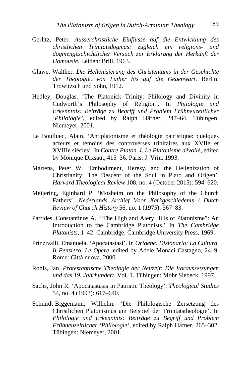- Gerlitz, Peter. *Ausserchristliche Einflüsse auf die Entwicklung des christlichen Trinitätsdogmas: zugleich ein religions- und dogmengeschichtlicher Versuch zur Erklärung der Herkunft der Homousie*. Leiden: Brill, 1963.
- Glawe, Walther. *Die Hellenisierung des Christentums in der Geschichte der Theologie, von Luther bis auf die Gegenwart*. Berlin: Trowitzsch und Sohn, 1912.
- Hedley, Douglas. 'The Platonick Trinity: Philology and Divinity in Cudworth's Philosophy of Religion'. In *Philologie und Erkenntnis: Beiträge zu Begriff und Problem Frühneuzeitlicher 'Philologie'*, edited by Ralph Häfner, 247–64. Tübingen: Niemeyer, 2001.
- Le Boulluec, Alain. 'Antiplatonisme et théologie patristique: quelques acteurs et témoins des controverses trinitaires aux XVIIe et XVIIIe siècles'. In *Contre Platon. I. Le Platonisme dévoilé*, edited by Monique Dixsaut, 415–36. Paris: J. Vrin, 1993.
- Martens, Peter W. 'Embodiment, Heresy, and the Hellenization of Christianity: The Descent of the Soul in Plato and Origen'. *Harvard Theological Review* 108, no. 4 (October 2015): 594–620.
- Meijering, Eginhard P. 'Mosheim on the Philosophy of the Church Fathers'. *Nederlands Archief Voor Kerkgeschiedenis / Dutch Review of Church History* 56, no. 1 (1975): 367–83.
- Patrides, Constantinos A. '"The High and Aiery Hills of Platonisme": An Introduction to the Cambridge Platonists.' In *The Cambridge Platonists*, 1–42. Cambridge: Cambridge University Press, 1969.
- Prinzivalli, Emanuela. 'Apocatastasi'. In *Origene. Dizionario: La Cultura, Il Pensiero, Le Opere*, edited by Adele Monaci Castagno, 24–9. Rome: Città nuova, 2000.
- Rohls, Jan. *Protestantische Theologie der Neuzeit: Die Voraussetzungen und das 19. Jahrhundert*. Vol. 1. Tübingen: Mohr Siebeck, 1997.
- Sachs, John R. 'Apocatastasis in Patristic Theology'. *Theological Studies* 54, no. 4 (1993): 617–640.
- Schmidt-Biggemann, Wilhelm. 'Die Philologische Zersetzung des Christlichen Platonismus am Beispiel der Trinitätstheologie'. In *Philologie und Erkenntnis: Beiträge zu Begriff und Problem Frühneuzeitlicher 'Philologie'*, edited by Ralph Häfner, 265–302. Tübingen: Niemeyer, 2001.